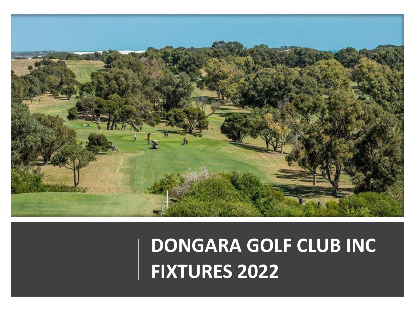

# **DONGARA GOLF CLUB INC FIXTURES 2022**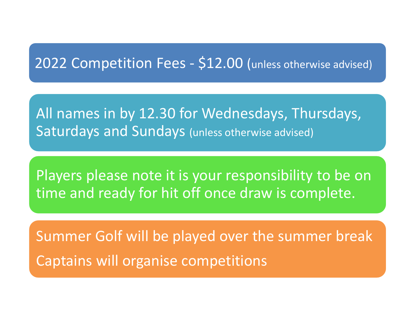### 2022 Competition Fees - \$12.00 (unless otherwise advised)

All names in by 12.30 for Wednesdays, Thursdays, Saturdays and Sundays (unless otherwise advised)

Players please note it is your responsibility to be on time and ready for hit off once draw is complete.

Summer Golf will be played over the summer break Captains will organise competitions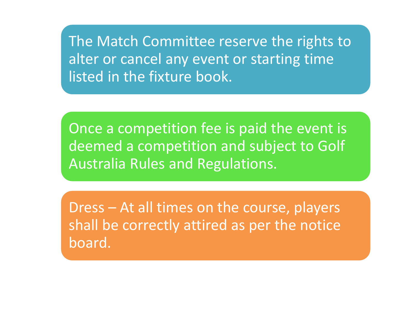The Match Committee reserve the rights to alter or cancel any event or starting time listed in the fixture book.

Once a competition fee is paid the event is deemed a competition and subject to Golf Australia Rules and Regulations.

Dress – At all times on the course, players shall be correctly attired as per the notice board.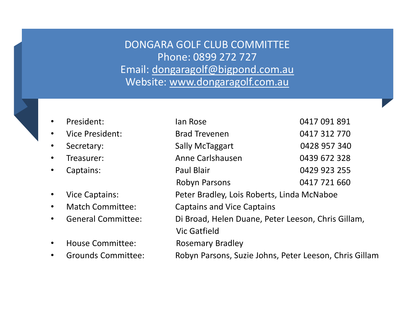DONGARA GOLF CLUB COMMITTEE Phone: 0899 272 727 Email: [dongaragolf@bigpond.com.au](mailto:dongaragolf@bigpond.com.au) Website: [www.dongaragolf.com.au](http://www.dongaragolf.com.au/)

- President:
- Vice President:
- Secretary:
- Treasurer:
- Captains:
- Vice Captains:
- Match Committee:
- General Committee:
- House Committee:
- 

| $\bullet$ | President:                | lan Rose                                               | 0417 091 891 |
|-----------|---------------------------|--------------------------------------------------------|--------------|
| $\bullet$ | <b>Vice President:</b>    | <b>Brad Trevenen</b>                                   | 0417 312 770 |
| $\bullet$ | Secretary:                | <b>Sally McTaggart</b>                                 | 0428 957 340 |
| $\bullet$ | Treasurer:                | Anne Carlshausen                                       | 0439 672 328 |
| $\bullet$ | Captains:                 | <b>Paul Blair</b>                                      | 0429 923 255 |
|           |                           | Robyn Parsons                                          | 0417 721 660 |
| $\bullet$ | <b>Vice Captains:</b>     | Peter Bradley, Lois Roberts, Linda McNaboe             |              |
| $\bullet$ | <b>Match Committee:</b>   | <b>Captains and Vice Captains</b>                      |              |
| $\bullet$ | <b>General Committee:</b> | Di Broad, Helen Duane, Peter Leeson, Chris Gillam,     |              |
|           |                           | <b>Vic Gatfield</b>                                    |              |
| $\bullet$ | <b>House Committee:</b>   | <b>Rosemary Bradley</b>                                |              |
| $\bullet$ | <b>Grounds Committee:</b> | Robyn Parsons, Suzie Johns, Peter Leeson, Chris Gillam |              |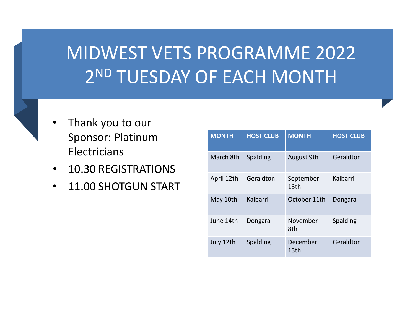### MIDWEST VETS PROGRAMME 2022 2ND TUESDAY OF EACH MONTH

- Thank you to our Sponsor: Platinum Electricians
- 10.30 REGISTRATIONS
- 11.00 SHOTGUN START

| <b>MONTH</b> | <b>HOST CLUB</b> | <b>MONTH</b>                  | <b>HOST CLUB</b> |
|--------------|------------------|-------------------------------|------------------|
| March 8th    | Spalding         | August 9th                    | Geraldton        |
| April 12th   | Geraldton        | September<br>13 <sub>th</sub> | Kalbarri         |
| May 10th     | Kalbarri         | October 11th                  | Dongara          |
| June 14th    | Dongara          | November<br>8th               | <b>Spalding</b>  |
| July 12th    | Spalding         | December<br>13th              | Geraldton        |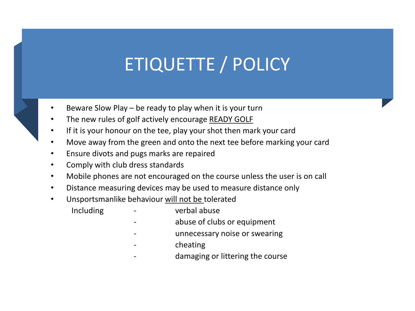## ETIQUETTE / POLICY

- Beware Slow Play be ready to play when it is your turn
- The new rules of golf actively encourage READY GOLF
- If it is your honour on the tee, play your shot then mark your card
- Move away from the green and onto the next tee before marking your card
- Ensure divots and pugs marks are repaired
- Comply with club dress standards
- Mobile phones are not encouraged on the course unless the user is on call
- Distance measuring devices may be used to measure distance only
- Unsportsmanlike behaviour will not be tolerated
	- Including verbal abuse
		- abuse of clubs or equipment
		- unnecessary noise or swearing
		- cheating
		- damaging or littering the course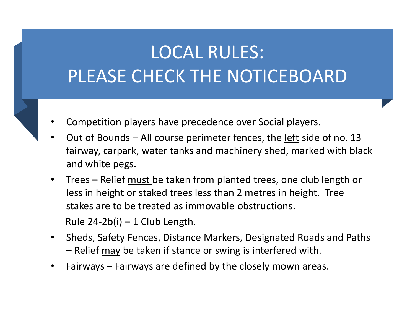### LOCAL RULES: PLEASE CHECK THE NOTICEBOARD

- Competition players have precedence over Social players.
- Out of Bounds All course perimeter fences, the left side of no. 13 fairway, carpark, water tanks and machinery shed, marked with black and white pegs.
- Trees Relief must be taken from planted trees, one club length or less in height or staked trees less than 2 metres in height. Tree stakes are to be treated as immovable obstructions. Rule  $24-2b(i) - 1$  Club Length.
- Sheds, Safety Fences, Distance Markers, Designated Roads and Paths – Relief  $\frac{may}{ay}$  be taken if stance or swing is interfered with.
- Fairways Fairways are defined by the closely mown areas.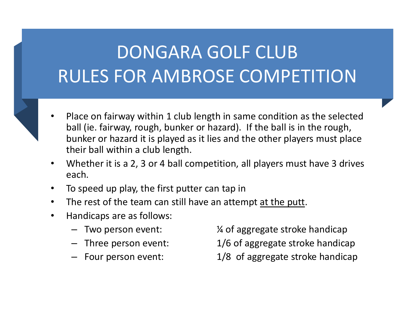## DONGARA GOLF CLUB RULES FOR AMBROSE COMPETITION

- Place on fairway within 1 club length in same condition as the selected ball (ie. fairway, rough, bunker or hazard). If the ball is in the rough, bunker or hazard it is played as it lies and the other players must place their ball within a club length.
- Whether it is a 2, 3 or 4 ball competition, all players must have 3 drives each.
- To speed up play, the first putter can tap in
- The rest of the team can still have an attempt at the putt.
- Handicaps are as follows:
	-
	-
	-

– Two person event: ¼ of aggregate stroke handicap – Three person event: 1/6 of aggregate stroke handicap

– Four person event: 1/8 of aggregate stroke handicap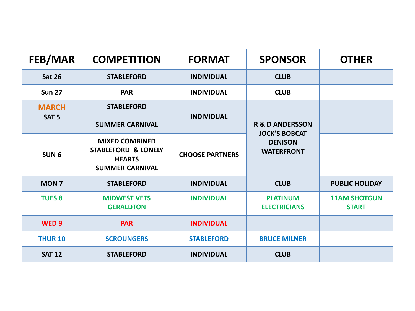| <b>FEB/MAR</b>                   | <b>COMPETITION</b>                                                                                 | <b>FORMAT</b>          | <b>SPONSOR</b>                                              | <b>OTHER</b>                        |
|----------------------------------|----------------------------------------------------------------------------------------------------|------------------------|-------------------------------------------------------------|-------------------------------------|
| <b>Sat 26</b>                    | <b>STABLEFORD</b>                                                                                  | <b>INDIVIDUAL</b>      | <b>CLUB</b>                                                 |                                     |
| <b>Sun 27</b>                    | <b>PAR</b>                                                                                         | <b>INDIVIDUAL</b>      | <b>CLUB</b>                                                 |                                     |
| <b>MARCH</b><br>SAT <sub>5</sub> | <b>STABLEFORD</b><br><b>SUMMER CARNIVAL</b>                                                        | <b>INDIVIDUAL</b>      | <b>R &amp; D ANDERSSON</b>                                  |                                     |
| SUN <sub>6</sub>                 | <b>MIXED COMBINED</b><br><b>STABLEFORD &amp; LONELY</b><br><b>HEARTS</b><br><b>SUMMER CARNIVAL</b> | <b>CHOOSE PARTNERS</b> | <b>JOCK'S BOBCAT</b><br><b>DENISON</b><br><b>WATERFRONT</b> |                                     |
| <b>MON7</b>                      | <b>STABLEFORD</b>                                                                                  | <b>INDIVIDUAL</b>      | <b>CLUB</b>                                                 | <b>PUBLIC HOLIDAY</b>               |
| <b>TUES 8</b>                    | <b>MIDWEST VETS</b><br><b>GERALDTON</b>                                                            | <b>INDIVIDUAL</b>      | <b>PLATINUM</b><br><b>ELECTRICIANS</b>                      | <b>11AM SHOTGUN</b><br><b>START</b> |
| WED <sub>9</sub>                 | <b>PAR</b>                                                                                         | <b>INDIVIDUAL</b>      |                                                             |                                     |
| <b>THUR 10</b>                   | <b>SCROUNGERS</b>                                                                                  | <b>STABLEFORD</b>      | <b>BRUCE MILNER</b>                                         |                                     |
| <b>SAT 12</b>                    | <b>STABLEFORD</b>                                                                                  | <b>INDIVIDUAL</b>      | <b>CLUB</b>                                                 |                                     |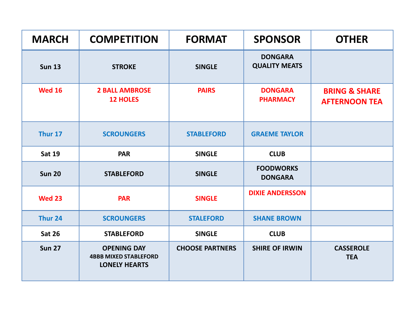| <b>MARCH</b>       | <b>COMPETITION</b>                                                         | <b>FORMAT</b>          | <b>SPONSOR</b>                         | <b>OTHER</b>                                     |
|--------------------|----------------------------------------------------------------------------|------------------------|----------------------------------------|--------------------------------------------------|
| <b>Sun 13</b>      | <b>STROKE</b>                                                              | <b>SINGLE</b>          | <b>DONGARA</b><br><b>QUALITY MEATS</b> |                                                  |
| <b>Wed 16</b>      | <b>2 BALL AMBROSE</b><br><b>12 HOLES</b>                                   | <b>PAIRS</b>           | <b>DONGARA</b><br><b>PHARMACY</b>      | <b>BRING &amp; SHARE</b><br><b>AFTERNOON TEA</b> |
| Thur 17            | <b>SCROUNGERS</b>                                                          | <b>STABLEFORD</b>      | <b>GRAEME TAYLOR</b>                   |                                                  |
| <b>Sat 19</b>      | <b>PAR</b>                                                                 | <b>SINGLE</b>          | <b>CLUB</b>                            |                                                  |
| <b>Sun 20</b>      | <b>STABLEFORD</b>                                                          | <b>SINGLE</b>          | <b>FOODWORKS</b><br><b>DONGARA</b>     |                                                  |
| <b>Wed 23</b>      | <b>PAR</b>                                                                 | <b>SINGLE</b>          | <b>DIXIE ANDERSSON</b>                 |                                                  |
| Thur <sub>24</sub> | <b>SCROUNGERS</b>                                                          | <b>STALEFORD</b>       | <b>SHANE BROWN</b>                     |                                                  |
| <b>Sat 26</b>      | <b>STABLEFORD</b>                                                          | <b>SINGLE</b>          | <b>CLUB</b>                            |                                                  |
| <b>Sun 27</b>      | <b>OPENING DAY</b><br><b>4BBB MIXED STABLEFORD</b><br><b>LONELY HEARTS</b> | <b>CHOOSE PARTNERS</b> | <b>SHIRE OF IRWIN</b>                  | <b>CASSEROLE</b><br><b>TEA</b>                   |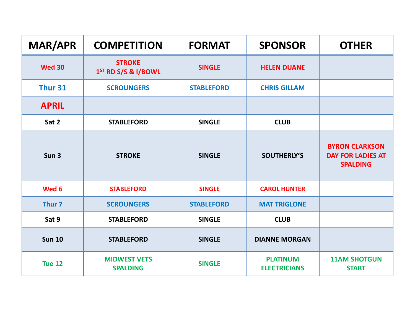| <b>MAR/APR</b>    | <b>COMPETITION</b>                               | <b>FORMAT</b>     | <b>SPONSOR</b>                         | <b>OTHER</b>                                                         |
|-------------------|--------------------------------------------------|-------------------|----------------------------------------|----------------------------------------------------------------------|
| <b>Wed 30</b>     | <b>STROKE</b><br>1 <sup>ST</sup> RD S/S & I/BOWL | <b>SINGLE</b>     | <b>HELEN DUANE</b>                     |                                                                      |
| Thur 31           | <b>SCROUNGERS</b>                                | <b>STABLEFORD</b> | <b>CHRIS GILLAM</b>                    |                                                                      |
| <b>APRIL</b>      |                                                  |                   |                                        |                                                                      |
| Sat 2             | <b>STABLEFORD</b>                                | <b>SINGLE</b>     | <b>CLUB</b>                            |                                                                      |
| Sun <sub>3</sub>  | <b>STROKE</b>                                    | <b>SINGLE</b>     | <b>SOUTHERLY'S</b>                     | <b>BYRON CLARKSON</b><br><b>DAY FOR LADIES AT</b><br><b>SPALDING</b> |
| Wed 6             | <b>STABLEFORD</b>                                | <b>SINGLE</b>     | <b>CAROL HUNTER</b>                    |                                                                      |
| Thur <sub>7</sub> | <b>SCROUNGERS</b>                                | <b>STABLEFORD</b> | <b>MAT TRIGLONE</b>                    |                                                                      |
| Sat 9             | <b>STABLEFORD</b>                                | <b>SINGLE</b>     | <b>CLUB</b>                            |                                                                      |
| <b>Sun 10</b>     | <b>STABLEFORD</b>                                | <b>SINGLE</b>     | <b>DIANNE MORGAN</b>                   |                                                                      |
| <b>Tue 12</b>     | <b>MIDWEST VETS</b><br><b>SPALDING</b>           | <b>SINGLE</b>     | <b>PLATINUM</b><br><b>ELECTRICIANS</b> | <b>11AM SHOTGUN</b><br><b>START</b>                                  |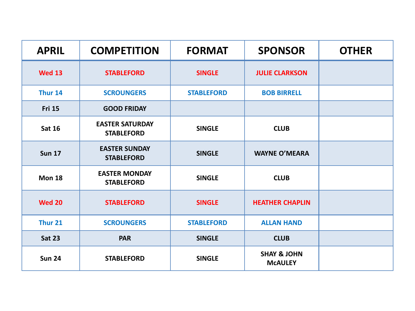| <b>APRIL</b>       | <b>COMPETITION</b>                          | <b>FORMAT</b>     | <b>SPONSOR</b>                           | <b>OTHER</b> |
|--------------------|---------------------------------------------|-------------------|------------------------------------------|--------------|
| <b>Wed 13</b>      | <b>STABLEFORD</b>                           | <b>SINGLE</b>     | <b>JULIE CLARKSON</b>                    |              |
| Thur 14            | <b>SCROUNGERS</b>                           | <b>STABLEFORD</b> | <b>BOB BIRRELL</b>                       |              |
| <b>Fri 15</b>      | <b>GOOD FRIDAY</b>                          |                   |                                          |              |
| <b>Sat 16</b>      | <b>EASTER SATURDAY</b><br><b>STABLEFORD</b> | <b>SINGLE</b>     | <b>CLUB</b>                              |              |
| <b>Sun 17</b>      | <b>EASTER SUNDAY</b><br><b>STABLEFORD</b>   | <b>SINGLE</b>     | <b>WAYNE O'MEARA</b>                     |              |
| <b>Mon 18</b>      | <b>EASTER MONDAY</b><br><b>STABLEFORD</b>   | <b>SINGLE</b>     | <b>CLUB</b>                              |              |
| <b>Wed 20</b>      | <b>STABLEFORD</b>                           | <b>SINGLE</b>     | <b>HEATHER CHAPLIN</b>                   |              |
| Thur <sub>21</sub> | <b>SCROUNGERS</b>                           | <b>STABLEFORD</b> | <b>ALLAN HAND</b>                        |              |
| <b>Sat 23</b>      | <b>PAR</b>                                  | <b>SINGLE</b>     | <b>CLUB</b>                              |              |
| <b>Sun 24</b>      | <b>STABLEFORD</b>                           | <b>SINGLE</b>     | <b>SHAY &amp; JOHN</b><br><b>MCAULEY</b> |              |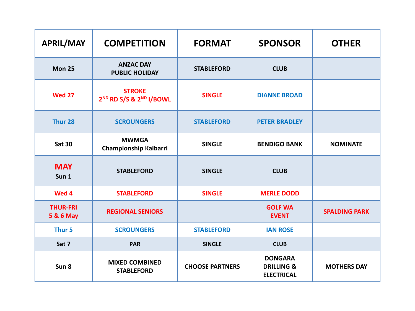| <b>APRIL/MAY</b>                        | <b>COMPETITION</b>                                               | <b>FORMAT</b>          | <b>SPONSOR</b>                                               | <b>OTHER</b>         |
|-----------------------------------------|------------------------------------------------------------------|------------------------|--------------------------------------------------------------|----------------------|
| <b>Mon 25</b>                           | <b>ANZAC DAY</b><br><b>PUBLIC HOLIDAY</b>                        | <b>STABLEFORD</b>      | <b>CLUB</b>                                                  |                      |
| <b>Wed 27</b>                           | <b>STROKE</b><br>2 <sup>ND</sup> RD S/S & 2 <sup>ND</sup> I/BOWL | <b>SINGLE</b>          | <b>DIANNE BROAD</b>                                          |                      |
| Thur 28                                 | <b>SCROUNGERS</b>                                                | <b>STABLEFORD</b>      | <b>PETER BRADLEY</b>                                         |                      |
| <b>Sat 30</b>                           | <b>MWMGA</b><br><b>Championship Kalbarri</b>                     | <b>SINGLE</b>          | <b>BENDIGO BANK</b>                                          | <b>NOMINATE</b>      |
| <b>MAY</b><br>Sun 1                     | <b>STABLEFORD</b>                                                | <b>SINGLE</b>          | <b>CLUB</b>                                                  |                      |
| Wed 4                                   | <b>STABLEFORD</b>                                                | <b>SINGLE</b>          | <b>MERLE DODD</b>                                            |                      |
| <b>THUR-FRI</b><br><b>5 &amp; 6 May</b> | <b>REGIONAL SENIORS</b>                                          |                        | <b>GOLF WA</b><br><b>EVENT</b>                               | <b>SPALDING PARK</b> |
| Thur <sub>5</sub>                       | <b>SCROUNGERS</b>                                                | <b>STABLEFORD</b>      | <b>IAN ROSE</b>                                              |                      |
| Sat 7                                   | <b>PAR</b>                                                       | <b>SINGLE</b>          | <b>CLUB</b>                                                  |                      |
| Sun 8                                   | <b>MIXED COMBINED</b><br><b>STABLEFORD</b>                       | <b>CHOOSE PARTNERS</b> | <b>DONGARA</b><br><b>DRILLING &amp;</b><br><b>ELECTRICAL</b> | <b>MOTHERS DAY</b>   |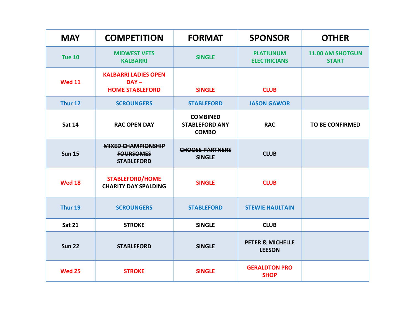| <b>MAY</b>    | <b>COMPETITION</b>                                                 | <b>FORMAT</b>                                            | <b>SPONSOR</b>                               | <b>OTHER</b>                     |
|---------------|--------------------------------------------------------------------|----------------------------------------------------------|----------------------------------------------|----------------------------------|
| <b>Tue 10</b> | <b>MIDWEST VETS</b><br><b>KALBARRI</b>                             | <b>SINGLE</b>                                            | <b>PLATIUNUM</b><br><b>ELECTRICIANS</b>      | 11.00 AM SHOTGUN<br><b>START</b> |
| <b>Wed 11</b> | <b>KALBARRI LADIES OPEN</b><br>$DAY -$<br><b>HOME STABLEFORD</b>   | <b>SINGLE</b>                                            | <b>CLUB</b>                                  |                                  |
| Thur 12       | <b>SCROUNGERS</b>                                                  | <b>STABLEFORD</b>                                        | <b>JASON GAWOR</b>                           |                                  |
| <b>Sat 14</b> | <b>RAC OPEN DAY</b>                                                | <b>COMBINED</b><br><b>STABLEFORD ANY</b><br><b>COMBO</b> | <b>RAC</b>                                   | <b>TO BE CONFIRMED</b>           |
| <b>Sun 15</b> | <b>MIXED CHAMPIONSHIP</b><br><b>FOURSOMES</b><br><b>STABLEFORD</b> | <b>CHOOSE PARTNERS</b><br><b>SINGLE</b>                  | <b>CLUB</b>                                  |                                  |
| <b>Wed 18</b> | <b>STABLEFORD/HOME</b><br><b>CHARITY DAY SPALDING</b>              | <b>SINGLE</b>                                            | <b>CLUB</b>                                  |                                  |
| Thur 19       | <b>SCROUNGERS</b>                                                  | <b>STABLEFORD</b>                                        | <b>STEWIE HAULTAIN</b>                       |                                  |
| <b>Sat 21</b> | <b>STROKE</b>                                                      | <b>SINGLE</b>                                            | <b>CLUB</b>                                  |                                  |
| <b>Sun 22</b> | <b>STABLEFORD</b>                                                  | <b>SINGLE</b>                                            | <b>PETER &amp; MICHELLE</b><br><b>LEESON</b> |                                  |
| <b>Wed 25</b> | <b>STROKE</b>                                                      | <b>SINGLE</b>                                            | <b>GERALDTON PRO</b><br><b>SHOP</b>          |                                  |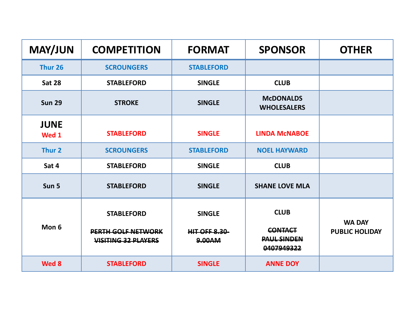| <b>MAY/JUN</b>       | <b>COMPETITION</b>                                                           | <b>FORMAT</b>                                   | <b>SPONSOR</b>                                                    | <b>OTHER</b>                           |
|----------------------|------------------------------------------------------------------------------|-------------------------------------------------|-------------------------------------------------------------------|----------------------------------------|
| Thur 26              | <b>SCROUNGERS</b>                                                            | <b>STABLEFORD</b>                               |                                                                   |                                        |
| <b>Sat 28</b>        | <b>STABLEFORD</b>                                                            | <b>SINGLE</b>                                   | <b>CLUB</b>                                                       |                                        |
| <b>Sun 29</b>        | <b>STROKE</b>                                                                | <b>SINGLE</b>                                   | <b>MCDONALDS</b><br><b>WHOLESALERS</b>                            |                                        |
| <b>JUNE</b><br>Wed 1 | <b>STABLEFORD</b>                                                            | <b>SINGLE</b>                                   | <b>LINDA MCNABOE</b>                                              |                                        |
| Thur <sub>2</sub>    | <b>SCROUNGERS</b>                                                            | <b>STABLEFORD</b>                               | <b>NOEL HAYWARD</b>                                               |                                        |
| Sat 4                | <b>STABLEFORD</b>                                                            | <b>SINGLE</b>                                   | <b>CLUB</b>                                                       |                                        |
| Sun 5                | <b>STABLEFORD</b>                                                            | <b>SINGLE</b>                                   | <b>SHANE LOVE MLA</b>                                             |                                        |
| Mon 6                | <b>STABLEFORD</b><br><b>PERTH GOLF NETWORK</b><br><b>VISITING 32 PLAYERS</b> | <b>SINGLE</b><br><b>HIT OFF 8.30-</b><br>9.00AM | <b>CLUB</b><br><b>CONTACT</b><br><b>PAUL SINDEN</b><br>0407949322 | <b>WA DAY</b><br><b>PUBLIC HOLIDAY</b> |
| Wed 8                | <b>STABLEFORD</b>                                                            | <b>SINGLE</b>                                   | <b>ANNE DOY</b>                                                   |                                        |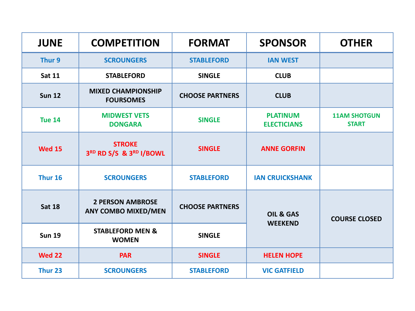| <b>JUNE</b>        | <b>COMPETITION</b>                                    | <b>FORMAT</b>          | <b>SPONSOR</b>                         | <b>OTHER</b>                        |
|--------------------|-------------------------------------------------------|------------------------|----------------------------------------|-------------------------------------|
| Thur 9             | <b>SCROUNGERS</b>                                     | <b>STABLEFORD</b>      | <b>IAN WEST</b>                        |                                     |
| <b>Sat 11</b>      | <b>STABLEFORD</b>                                     | <b>SINGLE</b>          | <b>CLUB</b>                            |                                     |
| <b>Sun 12</b>      | <b>MIXED CHAMPIONSHIP</b><br><b>FOURSOMES</b>         | <b>CHOOSE PARTNERS</b> | <b>CLUB</b>                            |                                     |
| <b>Tue 14</b>      | <b>MIDWEST VETS</b><br><b>DONGARA</b>                 | <b>SINGLE</b>          | <b>PLATINUM</b><br><b>ELECTICIANS</b>  | <b>11AM SHOTGUN</b><br><b>START</b> |
| <b>Wed 15</b>      | <b>STROKE</b><br>3RD RD S/S & 3RD I/BOWL              | <b>SINGLE</b>          | <b>ANNE GORFIN</b>                     |                                     |
| Thur 16            | <b>SCROUNGERS</b>                                     | <b>STABLEFORD</b>      | <b>IAN CRUICKSHANK</b>                 |                                     |
| <b>Sat 18</b>      | <b>2 PERSON AMBROSE</b><br><b>ANY COMBO MIXED/MEN</b> | <b>CHOOSE PARTNERS</b> | <b>OIL &amp; GAS</b><br><b>WEEKEND</b> | <b>COURSE CLOSED</b>                |
| <b>Sun 19</b>      | <b>STABLEFORD MEN &amp;</b><br><b>WOMEN</b>           | <b>SINGLE</b>          |                                        |                                     |
| <b>Wed 22</b>      | <b>PAR</b>                                            | <b>SINGLE</b>          | <b>HELEN HOPE</b>                      |                                     |
| Thur <sub>23</sub> | <b>SCROUNGERS</b>                                     | <b>STABLEFORD</b>      | <b>VIC GATFIELD</b>                    |                                     |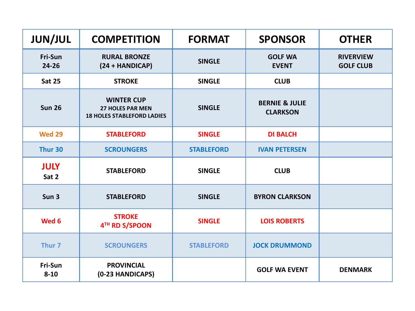| <b>JUN/JUL</b>          | <b>COMPETITION</b>                                                                | <b>FORMAT</b>     | <b>SPONSOR</b>                               | <b>OTHER</b>                         |
|-------------------------|-----------------------------------------------------------------------------------|-------------------|----------------------------------------------|--------------------------------------|
| <b>Fri-Sun</b><br>24-26 | <b>RURAL BRONZE</b><br>$(24 + HANDICAP)$                                          | <b>SINGLE</b>     | <b>GOLF WA</b><br><b>EVENT</b>               | <b>RIVERVIEW</b><br><b>GOLF CLUB</b> |
| <b>Sat 25</b>           | <b>STROKE</b>                                                                     | <b>SINGLE</b>     | <b>CLUB</b>                                  |                                      |
| <b>Sun 26</b>           | <b>WINTER CUP</b><br><b>27 HOLES PAR MEN</b><br><b>18 HOLES STABLEFORD LADIES</b> | <b>SINGLE</b>     | <b>BERNIE &amp; JULIE</b><br><b>CLARKSON</b> |                                      |
| <b>Wed 29</b>           | <b>STABLEFORD</b>                                                                 | <b>SINGLE</b>     | <b>DI BALCH</b>                              |                                      |
| Thur 30                 | <b>SCROUNGERS</b>                                                                 | <b>STABLEFORD</b> | <b>IVAN PETERSEN</b>                         |                                      |
| <b>JULY</b><br>Sat 2    | <b>STABLEFORD</b>                                                                 | <b>SINGLE</b>     | <b>CLUB</b>                                  |                                      |
| Sun <sub>3</sub>        | <b>STABLEFORD</b>                                                                 | <b>SINGLE</b>     | <b>BYRON CLARKSON</b>                        |                                      |
| Wed 6                   | <b>STROKE</b><br>4TH RD S/SPOON                                                   | <b>SINGLE</b>     | <b>LOIS ROBERTS</b>                          |                                      |
| Thur <sub>7</sub>       | <b>SCROUNGERS</b>                                                                 | <b>STABLEFORD</b> | <b>JOCK DRUMMOND</b>                         |                                      |
| Fri-Sun<br>$8 - 10$     | <b>PROVINCIAL</b><br>(0-23 HANDICAPS)                                             |                   | <b>GOLF WA EVENT</b>                         | <b>DENMARK</b>                       |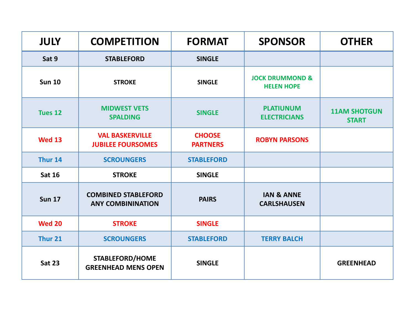| <b>JULY</b>   | <b>COMPETITION</b>                                     | <b>FORMAT</b>                    | <b>SPONSOR</b>                                  | <b>OTHER</b>                        |
|---------------|--------------------------------------------------------|----------------------------------|-------------------------------------------------|-------------------------------------|
| Sat 9         | <b>STABLEFORD</b>                                      | <b>SINGLE</b>                    |                                                 |                                     |
| <b>Sun 10</b> | <b>STROKE</b>                                          | <b>SINGLE</b>                    | <b>JOCK DRUMMOND &amp;</b><br><b>HELEN HOPE</b> |                                     |
| Tues 12       | <b>MIDWEST VETS</b><br><b>SPALDING</b>                 | <b>SINGLE</b>                    | <b>PLATIUNUM</b><br><b>ELECTRICIANS</b>         | <b>11AM SHOTGUN</b><br><b>START</b> |
| <b>Wed 13</b> | <b>VAL BASKERVILLE</b><br><b>JUBILEE FOURSOMES</b>     | <b>CHOOSE</b><br><b>PARTNERS</b> | <b>ROBYN PARSONS</b>                            |                                     |
| Thur 14       | <b>SCROUNGERS</b>                                      | <b>STABLEFORD</b>                |                                                 |                                     |
| <b>Sat 16</b> | <b>STROKE</b>                                          | <b>SINGLE</b>                    |                                                 |                                     |
| <b>Sun 17</b> | <b>COMBINED STABLEFORD</b><br><b>ANY COMBININATION</b> | <b>PAIRS</b>                     | <b>IAN &amp; ANNE</b><br><b>CARLSHAUSEN</b>     |                                     |
| <b>Wed 20</b> | <b>STROKE</b>                                          | <b>SINGLE</b>                    |                                                 |                                     |
| Thur 21       | <b>SCROUNGERS</b>                                      | <b>STABLEFORD</b>                | <b>TERRY BALCH</b>                              |                                     |
| <b>Sat 23</b> | STABLEFORD/HOME<br><b>GREENHEAD MENS OPEN</b>          | <b>SINGLE</b>                    |                                                 | <b>GREENHEAD</b>                    |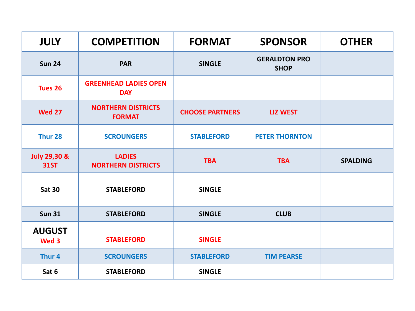| <b>JULY</b>                            | <b>COMPETITION</b>                         | <b>FORMAT</b>          | <b>SPONSOR</b>                      | <b>OTHER</b>    |
|----------------------------------------|--------------------------------------------|------------------------|-------------------------------------|-----------------|
| <b>Sun 24</b>                          | <b>PAR</b>                                 | <b>SINGLE</b>          | <b>GERALDTON PRO</b><br><b>SHOP</b> |                 |
| Tues 26                                | <b>GREENHEAD LADIES OPEN</b><br><b>DAY</b> |                        |                                     |                 |
| <b>Wed 27</b>                          | <b>NORTHERN DISTRICTS</b><br><b>FORMAT</b> | <b>CHOOSE PARTNERS</b> | <b>LIZ WEST</b>                     |                 |
| Thur <sub>28</sub>                     | <b>SCROUNGERS</b>                          | <b>STABLEFORD</b>      | <b>PETER THORNTON</b>               |                 |
| <b>July 29,30 &amp;</b><br><b>31ST</b> | <b>LADIES</b><br><b>NORTHERN DISTRICTS</b> | <b>TBA</b>             | <b>TBA</b>                          | <b>SPALDING</b> |
| <b>Sat 30</b>                          | <b>STABLEFORD</b>                          | <b>SINGLE</b>          |                                     |                 |
| <b>Sun 31</b>                          | <b>STABLEFORD</b>                          | <b>SINGLE</b>          | <b>CLUB</b>                         |                 |
| <b>AUGUST</b><br>Wed 3                 | <b>STABLEFORD</b>                          | <b>SINGLE</b>          |                                     |                 |
| Thur 4                                 | <b>SCROUNGERS</b>                          | <b>STABLEFORD</b>      | <b>TIM PEARSE</b>                   |                 |
| Sat 6                                  | <b>STABLEFORD</b>                          | <b>SINGLE</b>          |                                     |                 |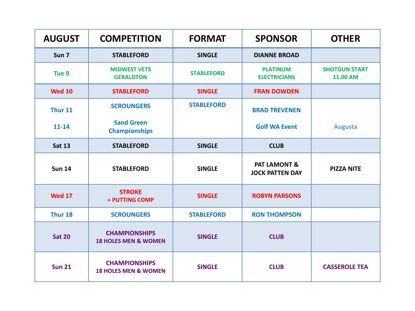| <b>AUGUST</b>    | <b>COMPETITION</b>                                      | <b>FORMAT</b>     | <b>SPONSOR</b>                                    | <b>OTHER</b>                     |
|------------------|---------------------------------------------------------|-------------------|---------------------------------------------------|----------------------------------|
| Sun <sub>7</sub> | <b>STABLEFORD</b>                                       | <b>SINGLE</b>     | <b>DIANNE BROAD</b>                               |                                  |
| Tue <sub>9</sub> | <b>MIDWEST VETS</b><br><b>GERALDTON</b>                 | <b>STABLEFORD</b> | <b>PLATINUM</b><br><b>ELECTRICIANS</b>            | <b>SHOTGUN START</b><br>11.00 AM |
| <b>Wed 10</b>    | <b>STABLEFORD</b>                                       | <b>SINGLE</b>     | <b>FRAN DOWDEN</b>                                |                                  |
| <b>Thur 11</b>   | <b>SCROUNGERS</b>                                       | <b>STABLEFORD</b> | <b>BRAD TREVENEN</b>                              |                                  |
| $11 - 14$        | <b>Sand Green</b><br><b>Championships</b>               |                   | <b>Golf WA Event</b>                              | <b>Augusta</b>                   |
| <b>Sat 13</b>    | <b>STABLEFORD</b>                                       | <b>SINGLE</b>     | <b>CLUB</b>                                       |                                  |
| <b>Sun 14</b>    | <b>STABLEFORD</b>                                       | <b>SINGLE</b>     | <b>PAT LAMONT &amp;</b><br><b>JOCK PATTEN DAY</b> | <b>PIZZA NITE</b>                |
| <b>Wed 17</b>    | <b>STROKE</b><br>+ PUTTING COMP                         | <b>SINGLE</b>     | <b>ROBYN PARSONS</b>                              |                                  |
| Thur 18          | <b>SCROUNGERS</b>                                       | <b>STABLEFORD</b> | <b>RON THOMPSON</b>                               |                                  |
| <b>Sat 20</b>    | <b>CHAMPIONSHIPS</b><br><b>18 HOLES MEN &amp; WOMEN</b> | <b>SINGLE</b>     | <b>CLUB</b>                                       |                                  |
| <b>Sun 21</b>    | <b>CHAMPIONSHIPS</b><br><b>18 HOLES MEN &amp; WOMEN</b> | <b>SINGLE</b>     | <b>CLUB</b>                                       | <b>CASSEROLE TEA</b>             |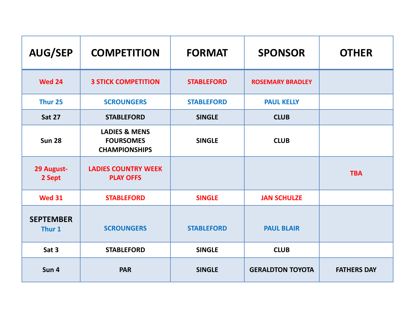| <b>AUG/SEP</b>             | <b>COMPETITION</b>                                                   | <b>FORMAT</b>     | <b>SPONSOR</b>          | <b>OTHER</b>       |
|----------------------------|----------------------------------------------------------------------|-------------------|-------------------------|--------------------|
| <b>Wed 24</b>              | <b>3 STICK COMPETITION</b>                                           | <b>STABLEFORD</b> | <b>ROSEMARY BRADLEY</b> |                    |
| Thur <sub>25</sub>         | <b>SCROUNGERS</b>                                                    | <b>STABLEFORD</b> | <b>PAUL KELLY</b>       |                    |
| <b>Sat 27</b>              | <b>STABLEFORD</b>                                                    | <b>SINGLE</b>     | <b>CLUB</b>             |                    |
| <b>Sun 28</b>              | <b>LADIES &amp; MENS</b><br><b>FOURSOMES</b><br><b>CHAMPIONSHIPS</b> | <b>SINGLE</b>     | <b>CLUB</b>             |                    |
| 29 August-<br>2 Sept       | <b>LADIES COUNTRY WEEK</b><br><b>PLAY OFFS</b>                       |                   |                         | <b>TBA</b>         |
| <b>Wed 31</b>              | <b>STABLEFORD</b>                                                    | <b>SINGLE</b>     | <b>JAN SCHULZE</b>      |                    |
| <b>SEPTEMBER</b><br>Thur 1 | <b>SCROUNGERS</b>                                                    | <b>STABLEFORD</b> | <b>PAUL BLAIR</b>       |                    |
| Sat 3                      | <b>STABLEFORD</b>                                                    | <b>SINGLE</b>     | <b>CLUB</b>             |                    |
| Sun 4                      | <b>PAR</b>                                                           | <b>SINGLE</b>     | <b>GERALDTON TOYOTA</b> | <b>FATHERS DAY</b> |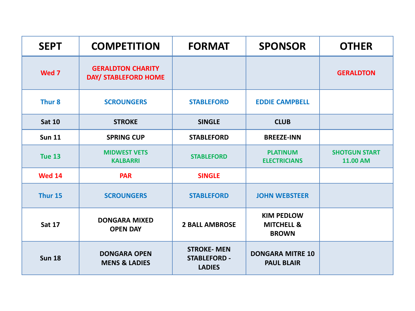| <b>SEPT</b>       | <b>COMPETITION</b>                               | <b>FORMAT</b>                                             | <b>SPONSOR</b>                                             | <b>OTHER</b>                     |
|-------------------|--------------------------------------------------|-----------------------------------------------------------|------------------------------------------------------------|----------------------------------|
| Wed 7             | <b>GERALDTON CHARITY</b><br>DAY/ STABLEFORD HOME |                                                           |                                                            | <b>GERALDTON</b>                 |
| Thur <sub>8</sub> | <b>SCROUNGERS</b>                                | <b>STABLEFORD</b>                                         | <b>EDDIE CAMPBELL</b>                                      |                                  |
| <b>Sat 10</b>     | <b>STROKE</b>                                    | <b>SINGLE</b>                                             | <b>CLUB</b>                                                |                                  |
| <b>Sun 11</b>     | <b>SPRING CUP</b>                                | <b>STABLEFORD</b>                                         | <b>BREEZE-INN</b>                                          |                                  |
| <b>Tue 13</b>     | <b>MIDWEST VETS</b><br><b>KALBARRI</b>           | <b>STABLEFORD</b>                                         | <b>PLATINUM</b><br><b>ELECTRICIANS</b>                     | <b>SHOTGUN START</b><br>11.00 AM |
| <b>Wed 14</b>     | <b>PAR</b>                                       | <b>SINGLE</b>                                             |                                                            |                                  |
| Thur 15           | <b>SCROUNGERS</b>                                | <b>STABLEFORD</b>                                         | <b>JOHN WEBSTEER</b>                                       |                                  |
| <b>Sat 17</b>     | <b>DONGARA MIXED</b><br><b>OPEN DAY</b>          | <b>2 BALL AMBROSE</b>                                     | <b>KIM PEDLOW</b><br><b>MITCHELL &amp;</b><br><b>BROWN</b> |                                  |
| <b>Sun 18</b>     | <b>DONGARA OPEN</b><br><b>MENS &amp; LADIES</b>  | <b>STROKE-MEN</b><br><b>STABLEFORD -</b><br><b>LADIES</b> | <b>DONGARA MITRE 10</b><br><b>PAUL BLAIR</b>               |                                  |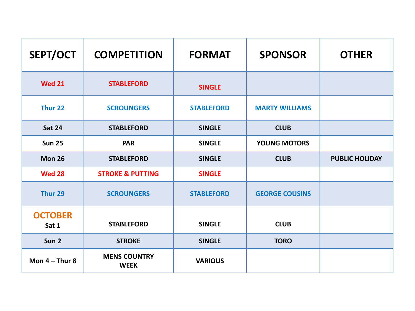| <b>SEPT/OCT</b>         | <b>COMPETITION</b>                 | <b>FORMAT</b>     | <b>SPONSOR</b>        | <b>OTHER</b>          |
|-------------------------|------------------------------------|-------------------|-----------------------|-----------------------|
| <b>Wed 21</b>           | <b>STABLEFORD</b>                  | <b>SINGLE</b>     |                       |                       |
| Thur <sub>22</sub>      | <b>SCROUNGERS</b>                  | <b>STABLEFORD</b> | <b>MARTY WILLIAMS</b> |                       |
| <b>Sat 24</b>           | <b>STABLEFORD</b>                  | <b>SINGLE</b>     | <b>CLUB</b>           |                       |
| <b>Sun 25</b>           | <b>PAR</b>                         | <b>SINGLE</b>     | <b>YOUNG MOTORS</b>   |                       |
| <b>Mon 26</b>           | <b>STABLEFORD</b>                  | <b>SINGLE</b>     | <b>CLUB</b>           | <b>PUBLIC HOLIDAY</b> |
| <b>Wed 28</b>           | <b>STROKE &amp; PUTTING</b>        | <b>SINGLE</b>     |                       |                       |
| Thur 29                 | <b>SCROUNGERS</b>                  | <b>STABLEFORD</b> | <b>GEORGE COUSINS</b> |                       |
| <b>OCTOBER</b><br>Sat 1 | <b>STABLEFORD</b>                  | <b>SINGLE</b>     | <b>CLUB</b>           |                       |
| Sun <sub>2</sub>        | <b>STROKE</b>                      | <b>SINGLE</b>     | <b>TORO</b>           |                       |
| Mon $4$ – Thur 8        | <b>MENS COUNTRY</b><br><b>WEEK</b> | <b>VARIOUS</b>    |                       |                       |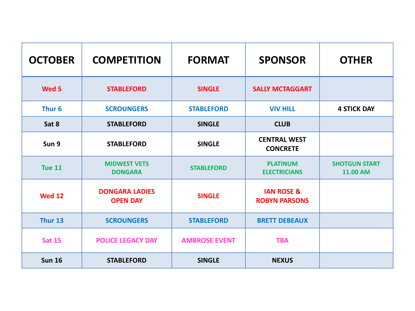| <b>OCTOBER</b>    | <b>COMPETITION</b>                       | <b>FORMAT</b>        | <b>SPONSOR</b>                                | <b>OTHER</b>                            |
|-------------------|------------------------------------------|----------------------|-----------------------------------------------|-----------------------------------------|
| Wed 5             | <b>STABLEFORD</b>                        | <b>SINGLE</b>        | <b>SALLY MCTAGGART</b>                        |                                         |
| Thur <sub>6</sub> | <b>SCROUNGERS</b>                        | <b>STABLEFORD</b>    | <b>VIV HILL</b>                               | <b>4 STICK DAY</b>                      |
| Sat 8             | <b>STABLEFORD</b>                        | <b>SINGLE</b>        | <b>CLUB</b>                                   |                                         |
| Sun 9             | <b>STABLEFORD</b>                        | <b>SINGLE</b>        | <b>CENTRAL WEST</b><br><b>CONCRETE</b>        |                                         |
| <b>Tue 11</b>     | <b>MIDWEST VETS</b><br><b>DONGARA</b>    | <b>STABLEFORD</b>    | <b>PLATINUM</b><br><b>ELECTRICIANS</b>        | <b>SHOTGUN START</b><br><b>11.00 AM</b> |
| <b>Wed 12</b>     | <b>DONGARA LADIES</b><br><b>OPEN DAY</b> | <b>SINGLE</b>        | <b>IAN ROSE &amp;</b><br><b>ROBYN PARSONS</b> |                                         |
| Thur 13           | <b>SCROUNGERS</b>                        | <b>STABLEFORD</b>    | <b>BRETT DEBEAUX</b>                          |                                         |
| <b>Sat 15</b>     | <b>POLICE LEGACY DAY</b>                 | <b>AMBROSE EVENT</b> | <b>TBA</b>                                    |                                         |
| <b>Sun 16</b>     | <b>STABLEFORD</b>                        | <b>SINGLE</b>        | <b>NEXUS</b>                                  |                                         |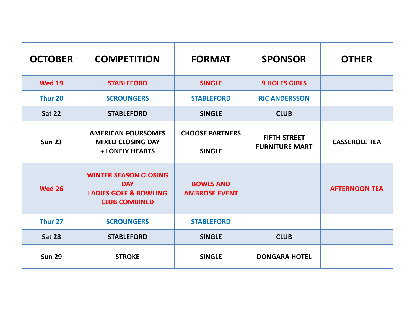| <b>OCTOBER</b>     | <b>COMPETITION</b>                                                                                     | <b>FORMAT</b>                            | <b>SPONSOR</b>                               | <b>OTHER</b>         |
|--------------------|--------------------------------------------------------------------------------------------------------|------------------------------------------|----------------------------------------------|----------------------|
| <b>Wed 19</b>      | <b>STABLEFORD</b>                                                                                      | <b>SINGLE</b>                            | <b>9 HOLES GIRLS</b>                         |                      |
| Thur <sub>20</sub> | <b>SCROUNGERS</b>                                                                                      | <b>STABLEFORD</b>                        | <b>RIC ANDERSSON</b>                         |                      |
| <b>Sat 22</b>      | <b>STABLEFORD</b>                                                                                      | <b>SINGLE</b>                            | <b>CLUB</b>                                  |                      |
| <b>Sun 23</b>      | <b>AMERICAN FOURSOMES</b><br><b>MIXED CLOSING DAY</b><br><b>+ LONELY HEARTS</b>                        | <b>CHOOSE PARTNERS</b><br><b>SINGLE</b>  | <b>FIFTH STREET</b><br><b>FURNITURE MART</b> | <b>CASSEROLE TEA</b> |
| <b>Wed 26</b>      | <b>WINTER SEASON CLOSING</b><br><b>DAY</b><br><b>LADIES GOLF &amp; BOWLING</b><br><b>CLUB COMBINED</b> | <b>BOWLS AND</b><br><b>AMBROSE EVENT</b> |                                              | <b>AFTERNOON TEA</b> |
| Thur <sub>27</sub> | <b>SCROUNGERS</b>                                                                                      | <b>STABLEFORD</b>                        |                                              |                      |
| <b>Sat 28</b>      | <b>STABLEFORD</b>                                                                                      | <b>SINGLE</b>                            | <b>CLUB</b>                                  |                      |
| <b>Sun 29</b>      | <b>STROKE</b>                                                                                          | <b>SINGLE</b>                            | <b>DONGARA HOTEL</b>                         |                      |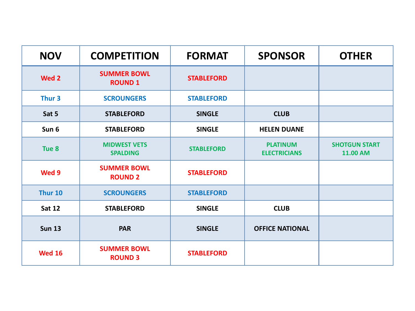| <b>NOV</b>        | <b>COMPETITION</b>                     | <b>FORMAT</b>     | <b>SPONSOR</b>                         | <b>OTHER</b>                            |
|-------------------|----------------------------------------|-------------------|----------------------------------------|-----------------------------------------|
| Wed 2             | <b>SUMMER BOWL</b><br><b>ROUND 1</b>   | <b>STABLEFORD</b> |                                        |                                         |
| Thur <sub>3</sub> | <b>SCROUNGERS</b>                      | <b>STABLEFORD</b> |                                        |                                         |
| Sat 5             | <b>STABLEFORD</b>                      | <b>SINGLE</b>     | <b>CLUB</b>                            |                                         |
| Sun 6             | <b>STABLEFORD</b>                      | <b>SINGLE</b>     | <b>HELEN DUANE</b>                     |                                         |
| Tue <sub>8</sub>  | <b>MIDWEST VETS</b><br><b>SPALDING</b> | <b>STABLEFORD</b> | <b>PLATINUM</b><br><b>ELECTRICIANS</b> | <b>SHOTGUN START</b><br><b>11.00 AM</b> |
| Wed 9             | <b>SUMMER BOWL</b><br><b>ROUND 2</b>   | <b>STABLEFORD</b> |                                        |                                         |
| Thur 10           | <b>SCROUNGERS</b>                      | <b>STABLEFORD</b> |                                        |                                         |
| <b>Sat 12</b>     | <b>STABLEFORD</b>                      | <b>SINGLE</b>     | <b>CLUB</b>                            |                                         |
| <b>Sun 13</b>     | <b>PAR</b>                             | <b>SINGLE</b>     | <b>OFFICE NATIONAL</b>                 |                                         |
| <b>Wed 16</b>     | <b>SUMMER BOWL</b><br><b>ROUND 3</b>   | <b>STABLEFORD</b> |                                        |                                         |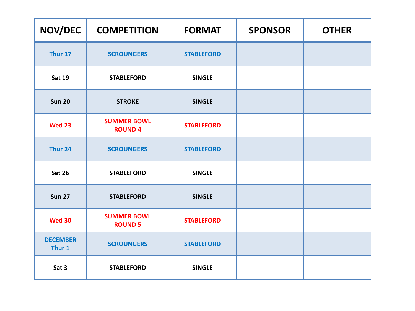| NOV/DEC                   | <b>COMPETITION</b>                   | <b>FORMAT</b>     | <b>SPONSOR</b> | <b>OTHER</b> |
|---------------------------|--------------------------------------|-------------------|----------------|--------------|
| Thur 17                   | <b>SCROUNGERS</b>                    | <b>STABLEFORD</b> |                |              |
| <b>Sat 19</b>             | <b>STABLEFORD</b>                    | <b>SINGLE</b>     |                |              |
| <b>Sun 20</b>             | <b>STROKE</b>                        | <b>SINGLE</b>     |                |              |
| <b>Wed 23</b>             | <b>SUMMER BOWL</b><br><b>ROUND 4</b> | <b>STABLEFORD</b> |                |              |
| Thur <sub>24</sub>        | <b>SCROUNGERS</b>                    | <b>STABLEFORD</b> |                |              |
| <b>Sat 26</b>             | <b>STABLEFORD</b>                    | <b>SINGLE</b>     |                |              |
| <b>Sun 27</b>             | <b>STABLEFORD</b>                    | <b>SINGLE</b>     |                |              |
| <b>Wed 30</b>             | <b>SUMMER BOWL</b><br><b>ROUND 5</b> | <b>STABLEFORD</b> |                |              |
| <b>DECEMBER</b><br>Thur 1 | <b>SCROUNGERS</b>                    | <b>STABLEFORD</b> |                |              |
| Sat 3                     | <b>STABLEFORD</b>                    | <b>SINGLE</b>     |                |              |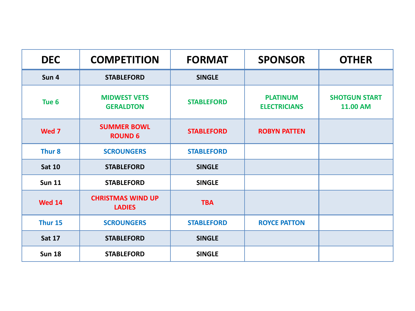| <b>DEC</b>        | <b>COMPETITION</b>                        | <b>FORMAT</b>     | <b>SPONSOR</b>                         | <b>OTHER</b>                            |
|-------------------|-------------------------------------------|-------------------|----------------------------------------|-----------------------------------------|
| Sun 4             | <b>STABLEFORD</b>                         | <b>SINGLE</b>     |                                        |                                         |
| Tue 6             | <b>MIDWEST VETS</b><br><b>GERALDTON</b>   | <b>STABLEFORD</b> | <b>PLATINUM</b><br><b>ELECTRICIANS</b> | <b>SHOTGUN START</b><br><b>11.00 AM</b> |
| Wed 7             | <b>SUMMER BOWL</b><br><b>ROUND 6</b>      | <b>STABLEFORD</b> | <b>ROBYN PATTEN</b>                    |                                         |
| Thur <sub>8</sub> | <b>SCROUNGERS</b>                         | <b>STABLEFORD</b> |                                        |                                         |
| <b>Sat 10</b>     | <b>STABLEFORD</b>                         | <b>SINGLE</b>     |                                        |                                         |
| <b>Sun 11</b>     | <b>STABLEFORD</b>                         | <b>SINGLE</b>     |                                        |                                         |
| <b>Wed 14</b>     | <b>CHRISTMAS WIND UP</b><br><b>LADIES</b> | <b>TBA</b>        |                                        |                                         |
| Thur 15           | <b>SCROUNGERS</b>                         | <b>STABLEFORD</b> | <b>ROYCE PATTON</b>                    |                                         |
| <b>Sat 17</b>     | <b>STABLEFORD</b>                         | <b>SINGLE</b>     |                                        |                                         |
| <b>Sun 18</b>     | <b>STABLEFORD</b>                         | <b>SINGLE</b>     |                                        |                                         |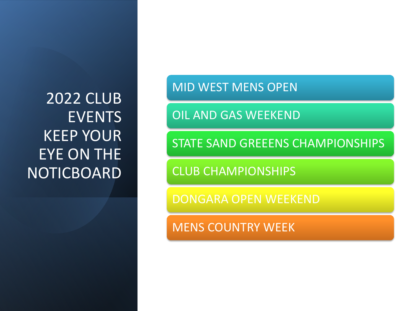2022 CLUB EVENTS KEEP YOUR EYE ON THE **NOTICBOARD**  MID WEST MENS OPEN

OIL AND GAS WEEKEND

STATE SAND GREEENS CHAMPIONSHIPS

CLUB CHAMPIONSHIPS

DONGARA OPEN WEEKEND

MENS COUNTRY WEEK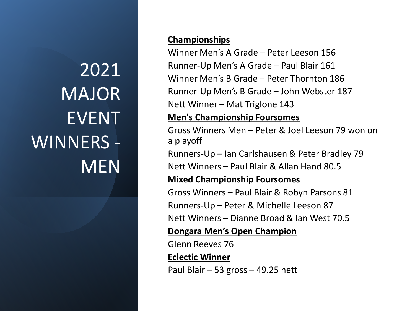2021 MAJOR EVENT WINNERS - MEN

#### **Championships**

Winner Men's A Grade – Peter Leeson 156 Runner-Up Men's A Grade – Paul Blair 161 Winner Men's B Grade – Peter Thornton 186 Runner-Up Men's B Grade – John Webster 187 Nett Winner – Mat Triglone 143

#### **Men's Championship Foursomes**

Gross Winners Men – Peter & Joel Leeson 79 won on a playoff

Runners-Up – Ian Carlshausen & Peter Bradley 79

Nett Winners – Paul Blair & Allan Hand 80.5

#### **Mixed Championship Foursomes**

Gross Winners – Paul Blair & Robyn Parsons 81

Runners-Up – Peter & Michelle Leeson 87

Nett Winners – Dianne Broad & Ian West 70.5

#### **Dongara Men's Open Champion**

Glenn Reeves 76

#### **Eclectic Winner**

Paul Blair – 53 gross – 49.25 nett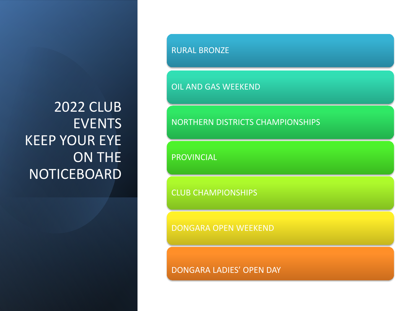2022 CLUB EVENTS KEEP YOUR EYE ON THE **NOTICEBOARD** 

RURAL BRONZE

OIL AND GAS WEEKEND

#### NORTHERN DISTRICTS CHAMPIONSHIPS

PROVINCIAL

CLUB CHAMPIONSHIPS

DONGARA OPEN WEEKEND

DONGARA LADIES' OPEN DAY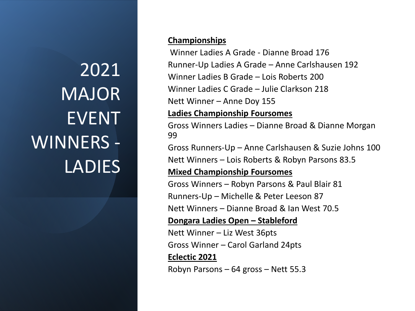2021 MAJOR EVENT WINNERS - LADIES

#### **Championships**

Winner Ladies A Grade - Dianne Broad 176 Runner-Up Ladies A Grade – Anne Carlshausen 192 Winner Ladies B Grade – Lois Roberts 200 Winner Ladies C Grade – Julie Clarkson 218 Nett Winner – Anne Doy 155 **Ladies Championship Foursomes**

Gross Winners Ladies – Dianne Broad & Dianne Morgan 99

Gross Runners-Up – Anne Carlshausen & Suzie Johns 100 Nett Winners – Lois Roberts & Robyn Parsons 83.5

#### **Mixed Championship Foursomes**

Gross Winners – Robyn Parsons & Paul Blair 81 Runners-Up – Michelle & Peter Leeson 87 Nett Winners – Dianne Broad & Ian West 70.5

#### **Dongara Ladies Open – Stableford**

Nett Winner – Liz West 36pts Gross Winner – Carol Garland 24pts **Eclectic 2021**

Robyn Parsons – 64 gross – Nett 55.3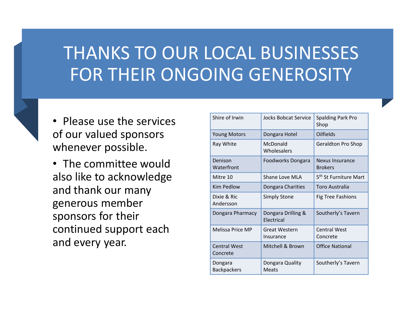### THANKS TO OUR LOCAL BUSINESSES FOR THEIR ONGOING GENEROSITY

- Please use the services of our valued sponsors whenever possible.
- The committee would also like to acknowledge and thank our many generous member sponsors for their continued support each and every year.

| Shire of Irwin                  | Jocks Bobcat Service              | <b>Spalding Park Pro</b><br>Shop  |
|---------------------------------|-----------------------------------|-----------------------------------|
| <b>Young Motors</b>             | Dongara Hotel                     | Oilfields                         |
| Ray White                       | McDonald<br>Wholesalers           | Geraldton Pro Shop                |
| Denison<br>Waterfront           | Foodworks Dongara                 | Nexus Insurance<br><b>Brokers</b> |
| Mitre 10                        | Shane Love MLA                    | 5 <sup>th</sup> St Furniture Mart |
| Kim Pedlow                      | Dongara Charities                 | Toro Australia                    |
| Dixie & Ric<br>Andersson        | Simply Stone                      | Fig Tree Fashions                 |
| Dongara Pharmacy                | Dongara Drilling &<br>Electrical  | Southerly's Tavern                |
| Melissa Price MP                | <b>Great Western</b><br>Insurance | <b>Central West</b><br>Concrete   |
| <b>Central West</b><br>Concrete | Mitchell & Brown                  | <b>Office National</b>            |
| Dongara<br><b>Backpackers</b>   | Dongara Quality<br><b>Meats</b>   | Southerly's Tavern                |